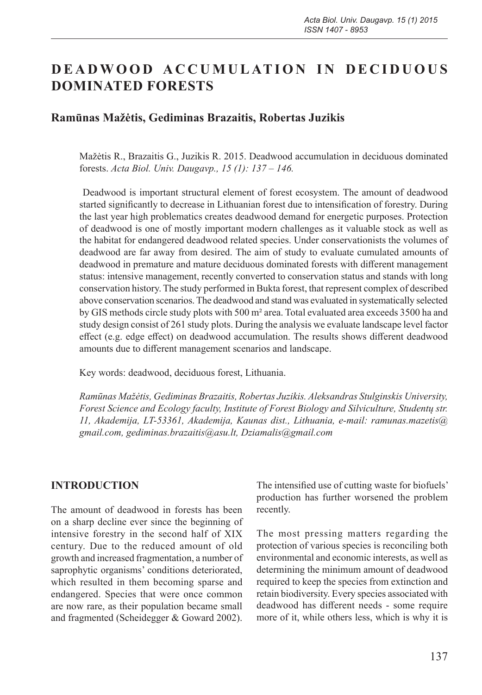# **DEADWOOD ACCUMULATION IN DECIDUOUS DOMINATED FORESTS**

### **Ramūnas Mažėtis, Gediminas Brazaitis, Robertas Juzikis**

Mažėtis R., Brazaitis G., Juzikis R. 2015. Deadwood accumulation in deciduous dominated forests. *Acta Biol. Univ. Daugavp., 15 (1): 137 – 146.*

 Deadwood is important structural element of forest ecosystem. The amount of deadwood started significantly to decrease in Lithuanian forest due to intensification of forestry. During the last year high problematics creates deadwood demand for energetic purposes. Protection of deadwood is one of mostly important modern challenges as it valuable stock as well as the habitat for endangered deadwood related species. Under conservationists the volumes of deadwood are far away from desired. The aim of study to evaluate cumulated amounts of deadwood in premature and mature deciduous dominated forests with different management status: intensive management, recently converted to conservation status and stands with long conservation history. The study performed in Bukta forest, that represent complex of described above conservation scenarios. The deadwood and stand was evaluated in systematically selected by GIS methods circle study plots with 500 m² area. Total evaluated area exceeds 3500 ha and study design consist of 261 study plots. During the analysis we evaluate landscape level factor effect (e.g. edge effect) on deadwood accumulation. The results shows different deadwood amounts due to different management scenarios and landscape.

Key words: deadwood, deciduous forest, Lithuania.

*Ramūnas Mažėtis, Gediminas Brazaitis, Robertas Juzikis. Aleksandras Stulginskis University, Forest Science and Ecology faculty, Institute of Forest Biology and Silviculture, Studentų str. 11, Akademija, LT-53361, Akademija, Kaunas dist., Lithuania, e-mail: ramunas.mazetis@ gmail.com, gediminas.brazaitis@asu.lt, Dziamalis@gmail.com*

#### **INTRODUCTION**

The amount of deadwood in forests has been on a sharp decline ever since the beginning of intensive forestry in the second half of XIX century. Due to the reduced amount of old growth and increased fragmentation, a number of saprophytic organisms' conditions deteriorated, which resulted in them becoming sparse and endangered. Species that were once common are now rare, as their population became small and fragmented (Scheidegger & Goward 2002).

The intensified use of cutting waste for biofuels' production has further worsened the problem recently.

The most pressing matters regarding the protection of various species is reconciling both environmental and economic interests, as well as determining the minimum amount of deadwood required to keep the species from extinction and retain biodiversity. Every species associated with deadwood has different needs - some require more of it, while others less, which is why it is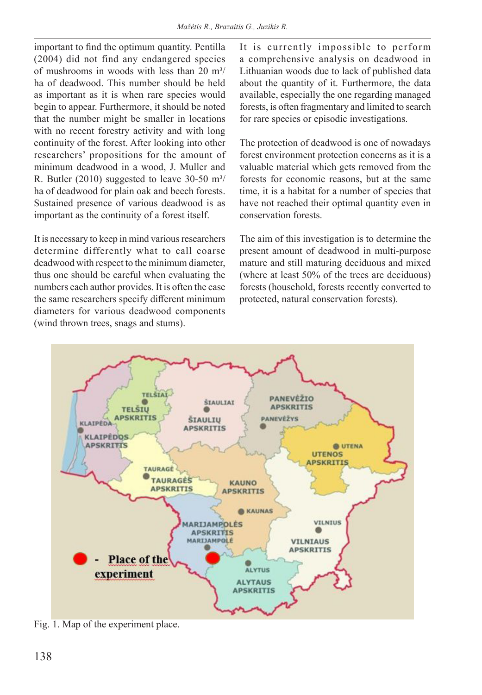important to find the optimum quantity. Pentilla (2004) did not find any endangered species of mushrooms in woods with less than  $20 \text{ m}^3$ / ha of deadwood. This number should be held as important as it is when rare species would begin to appear. Furthermore, it should be noted that the number might be smaller in locations with no recent forestry activity and with long continuity of the forest. After looking into other researchers' propositions for the amount of minimum deadwood in a wood, J. Muller and R. Butler (2010) suggested to leave  $30-50$  m<sup>3</sup>/ ha of deadwood for plain oak and beech forests. Sustained presence of various deadwood is as important as the continuity of a forest itself.

It is necessary to keep in mind various researchers determine differently what to call coarse deadwood with respect to the minimum diameter, thus one should be careful when evaluating the numbers each author provides. It is often the case the same researchers specify different minimum diameters for various deadwood components (wind thrown trees, snags and stums).

It is currently impossible to perform a comprehensive analysis on deadwood in Lithuanian woods due to lack of published data about the quantity of it. Furthermore, the data available, especially the one regarding managed forests, is often fragmentary and limited to search for rare species or episodic investigations.

The protection of deadwood is one of nowadays forest environment protection concerns as it is a valuable material which gets removed from the forests for economic reasons, but at the same time, it is a habitat for a number of species that have not reached their optimal quantity even in conservation forests.

The aim of this investigation is to determine the present amount of deadwood in multi-purpose mature and still maturing deciduous and mixed (where at least 50% of the trees are deciduous) forests (household, forests recently converted to protected, natural conservation forests).



Fig. 1. Map of the experiment place.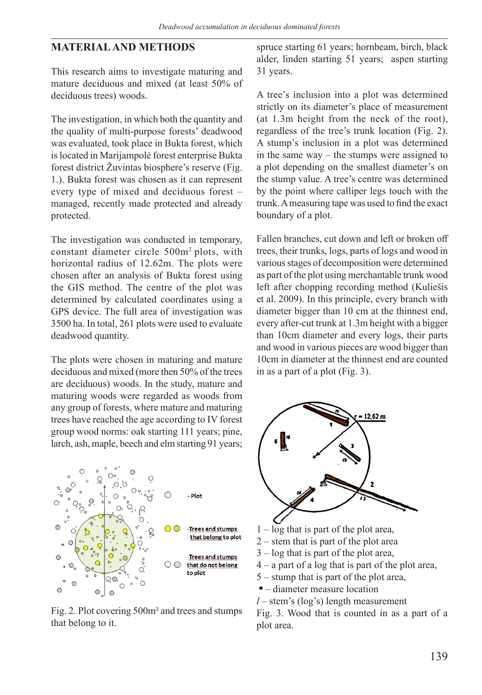#### **MATERIAL AND METHODS**

This research aims to investigate maturing and mature deciduous and mixed (at least 50% of deciduous trees) woods.

The investigation, in which both the quantity and the quality of multi-purpose forests' deadwood was evaluated, took place in Bukta forest, which is located in Marijampolė forest enterprise Bukta forest district Žuvintas biosphere's reserve (Fig. 1.). Bukta forest was chosen as it can represent every type of mixed and deciduous forest – managed, recently made protected and already protected.

The investigation was conducted in temporary, constant diameter circle 500m2 plots, with horizontal radius of 12.62m. The plots were chosen after an analysis of Bukta forest using the GIS method. The centre of the plot was determined by calculated coordinates using a GPS device. The full area of investigation was 3500 ha. In total, 261 plots were used to evaluate deadwood quantity.

The plots were chosen in maturing and mature deciduous and mixed (more then 50% of the trees are deciduous) woods. In the study, mature and maturing woods were regarded as woods from any group of forests, where mature and maturing trees have reached the age according to IV forest group wood norms: oak starting 111 years; pine, larch, ash, maple, beech and elm starting 91 years;



Fig. 2. Plot covering 500m² and trees and stumps that belong to it.

spruce starting 61 years; hornbeam, birch, black alder, linden starting 51 years; aspen starting 31 years.

A tree's inclusion into a plot was determined strictly on its diameter's place of measurement (at 1.3m height from the neck of the root), regardless of the tree's trunk location (Fig. 2). A stump's inclusion in a plot was determined in the same way – the stumps were assigned to a plot depending on the smallest diameter's on the stump value. A tree's centre was determined by the point where calliper legs touch with the trunk. A measuring tape was used to find the exact boundary of a plot.

Fallen branches, cut down and left or broken off trees, their trunks, logs, parts of logs and wood in various stages of decomposition were determined as part of the plot using merchantable trunk wood left after chopping recording method (Kuliešis et al. 2009). In this principle, every branch with diameter bigger than 10 cm at the thinnest end, every after-cut trunk at 1.3m height with a bigger than 10cm diameter and every logs, their parts and wood in various pieces are wood bigger than 10cm in diameter at the thinnest end are counted in as a part of a plot (Fig. 3).

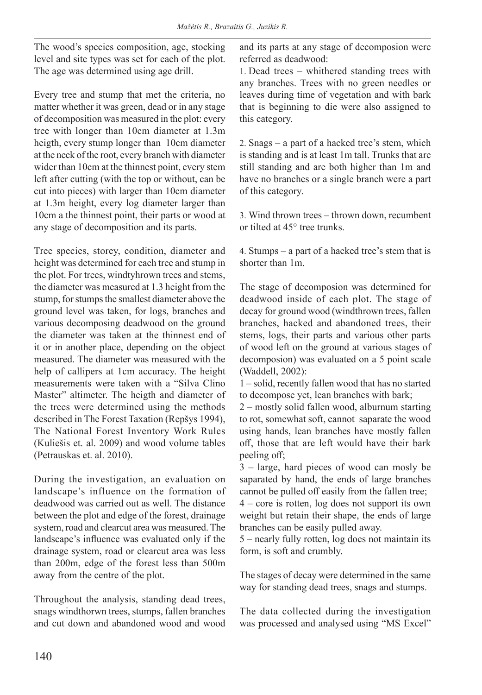The wood's species composition, age, stocking level and site types was set for each of the plot. The age was determined using age drill.

Every tree and stump that met the criteria, no matter whether it was green, dead or in any stage of decomposition was measured in the plot: every tree with longer than 10cm diameter at 1.3m heigth, every stump longer than 10cm diameter at the neck of the root, every branch with diameter wider than 10cm at the thinnest point, every stem left after cutting (with the top or without, can be cut into pieces) with larger than 10cm diameter at 1.3m height, every log diameter larger than 10cm a the thinnest point, their parts or wood at any stage of decomposition and its parts.

Tree species, storey, condition, diameter and height was determined for each tree and stump in the plot. For trees, windtyhrown trees and stems, the diameter was measured at 1.3 height from the stump, for stumps the smallest diameter above the ground level was taken, for logs, branches and various decomposing deadwood on the ground the diameter was taken at the thinnest end of it or in another place, depending on the object measured. The diameter was measured with the help of callipers at 1cm accuracy. The height measurements were taken with a "Silva Clino Master" altimeter. The heigth and diameter of the trees were determined using the methods described in The Forest Taxation (Repšys 1994), The National Forest Inventory Work Rules (Kuliešis et. al. 2009) and wood volume tables (Petrauskas et. al. 2010).

During the investigation, an evaluation on landscape's influence on the formation of deadwood was carried out as well. The distance between the plot and edge of the forest, drainage system, road and clearcut area was measured. The landscape's influence was evaluated only if the drainage system, road or clearcut area was less than 200m, edge of the forest less than 500m away from the centre of the plot.

Throughout the analysis, standing dead trees, snags windthorwn trees, stumps, fallen branches and cut down and abandoned wood and wood and its parts at any stage of decomposion were referred as deadwood:

1. Dead trees – whithered standing trees with any branches. Trees with no green needles or leaves during time of vegetation and with bark that is beginning to die were also assigned to this category.

2. Snags – a part of a hacked tree's stem, which is standing and is at least 1m tall. Trunks that are still standing and are both higher than 1m and have no branches or a single branch were a part of this category.

3. Wind thrown trees – thrown down, recumbent or tilted at 45° tree trunks.

4. Stumps – a part of a hacked tree's stem that is shorter than 1m.

The stage of decomposion was determined for deadwood inside of each plot. The stage of decay for ground wood (windthrown trees, fallen branches, hacked and abandoned trees, their stems, logs, their parts and various other parts of wood left on the ground at various stages of decomposion) was evaluated on a 5 point scale (Waddell, 2002):

1 – solid, recently fallen wood that has no started to decompose yet, lean branches with bark;

2 – mostly solid fallen wood, alburnum starting to rot, somewhat soft, cannot saparate the wood using hands, lean branches have mostly fallen off, those that are left would have their bark peeling off;

3 – large, hard pieces of wood can mosly be saparated by hand, the ends of large branches cannot be pulled off easily from the fallen tree;

4 – core is rotten, log does not support its own weight but retain their shape, the ends of large branches can be easily pulled away.

5 – nearly fully rotten, log does not maintain its form, is soft and crumbly.

The stages of decay were determined in the same way for standing dead trees, snags and stumps.

The data collected during the investigation was processed and analysed using "MS Excel"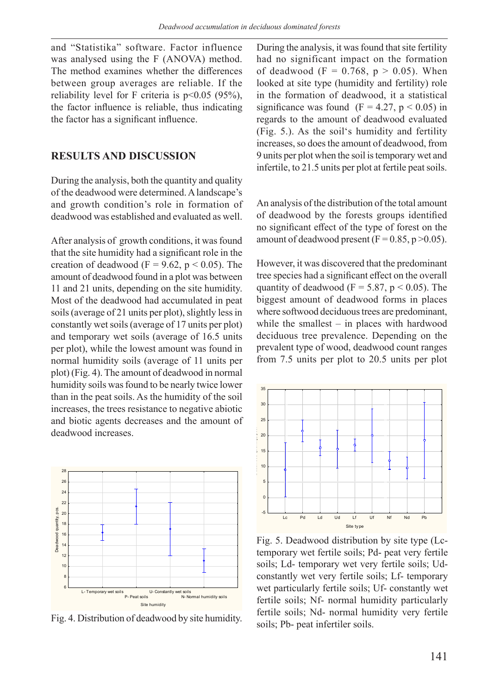and "Statistika" software. Factor influence was analysed using the F (ANOVA) method. The method examines whether the differences between group averages are reliable. If the reliability level for F criteria is p<0.05 (95%), the factor influence is reliable, thus indicating the factor has a significant influence.

#### **RESULTS AND DISCUSSION**

During the analysis, both the quantity and quality of the deadwood were determined. A landscape's and growth condition's role in formation of deadwood was established and evaluated as well.

After analysis of growth conditions, it was found that the site humidity had a significant role in the creation of deadwood ( $F = 9.62$ ,  $p < 0.05$ ). The amount of deadwood found in a plot was between 11 and 21 units, depending on the site humidity. Most of the deadwood had accumulated in peat soils (average of 21 units per plot), slightly less in constantly wet soils (average of 17 units per plot) and temporary wet soils (average of 16.5 units per plot), while the lowest amount was found in normal humidity soils (average of 11 units per plot) (Fig. 4). The amount of deadwood in normal humidity soils was found to be nearly twice lower than in the peat soils. As the humidity of the soil increases, the trees resistance to negative abiotic and biotic agents decreases and the amount of deadwood increases.



Fig. 4. Distribution of deadwood by site humidity.

During the analysis, it was found that site fertility had no significant impact on the formation of deadwood (F = 0.768, p > 0.05). When looked at site type (humidity and fertility) role in the formation of deadwood, it a statistical significance was found (F = 4.27,  $p < 0.05$ ) in regards to the amount of deadwood evaluated (Fig. 5.). As the soil's humidity and fertility increases, so does the amount of deadwood, from 9 units per plot when the soil is temporary wet and infertile, to 21.5 units per plot at fertile peat soils.

An analysis of the distribution of the total amount of deadwood by the forests groups identified no significant effect of the type of forest on the amount of deadwood present ( $F = 0.85$ , p $> 0.05$ ).

However, it was discovered that the predominant tree species had a significant effect on the overall quantity of deadwood ( $F = 5.87$ ,  $p < 0.05$ ). The biggest amount of deadwood forms in places where softwood deciduous trees are predominant, while the smallest – in places with hardwood deciduous tree prevalence. Depending on the prevalent type of wood, deadwood count ranges from 7.5 units per plot to 20.5 units per plot



Fig. 5. Deadwood distribution by site type (Lctemporary wet fertile soils; Pd- peat very fertile soils; Ld- temporary wet very fertile soils; Udconstantly wet very fertile soils; Lf- temporary wet particularly fertile soils; Uf- constantly wet fertile soils; Nf- normal humidity particularly fertile soils; Nd- normal humidity very fertile soils; Pb- peat infertiler soils.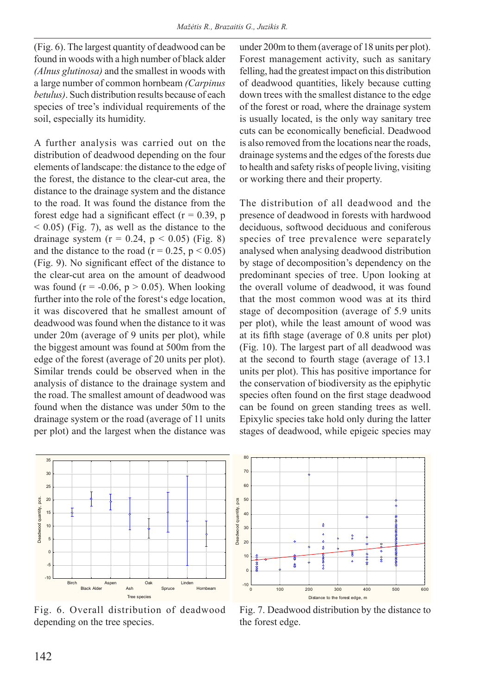(Fig. 6). The largest quantity of deadwood can be found in woods with a high number of black alder *(Alnus glutinosa)* and the smallest in woods with a large number of common hornbeam *(Carpinus betulus)*. Such distribution results because of each species of tree's individual requirements of the soil, especially its humidity.

A further analysis was carried out on the distribution of deadwood depending on the four elements of landscape: the distance to the edge of the forest, the distance to the clear-cut area, the distance to the drainage system and the distance to the road. It was found the distance from the forest edge had a significant effect  $(r = 0.39, p$  $(0.05)$  (Fig. 7), as well as the distance to the drainage system ( $r = 0.24$ ,  $p < 0.05$ ) (Fig. 8) and the distance to the road ( $r = 0.25$ ,  $p < 0.05$ ) (Fig. 9). No significant effect of the distance to the clear-cut area on the amount of deadwood was found ( $r = -0.06$ ,  $p > 0.05$ ). When looking further into the role of the forest's edge location, it was discovered that he smallest amount of deadwood was found when the distance to it was under 20m (average of 9 units per plot), while the biggest amount was found at 500m from the edge of the forest (average of 20 units per plot). Similar trends could be observed when in the analysis of distance to the drainage system and the road. The smallest amount of deadwood was found when the distance was under 50m to the drainage system or the road (average of 11 units per plot) and the largest when the distance was

under 200m to them (average of 18 units per plot). Forest management activity, such as sanitary felling, had the greatest impact on this distribution of deadwood quantities, likely because cutting down trees with the smallest distance to the edge of the forest or road, where the drainage system is usually located, is the only way sanitary tree cuts can be economically beneficial. Deadwood is also removed from the locations near the roads, drainage systems and the edges of the forests due to health and safety risks of people living, visiting or working there and their property.

The distribution of all deadwood and the presence of deadwood in forests with hardwood deciduous, softwood deciduous and coniferous species of tree prevalence were separately analysed when analysing deadwood distribution by stage of decomposition's dependency on the predominant species of tree. Upon looking at the overall volume of deadwood, it was found that the most common wood was at its third stage of decomposition (average of 5.9 units per plot), while the least amount of wood was at its fifth stage (average of 0.8 units per plot) (Fig. 10). The largest part of all deadwood was at the second to fourth stage (average of 13.1 units per plot). This has positive importance for the conservation of biodiversity as the epiphytic species often found on the first stage deadwood can be found on green standing trees as well. Epixylic species take hold only during the latter stages of deadwood, while epigeic species may



Fig. 6. Overall distribution of deadwood depending on the tree species.



Fig. 7. Deadwood distribution by the distance to the forest edge.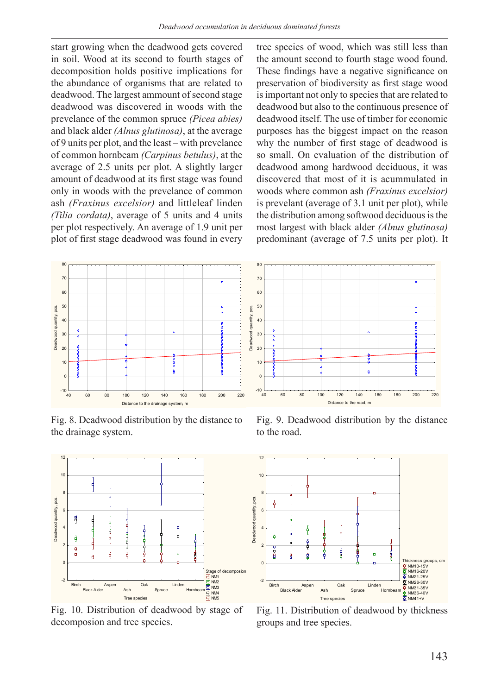start growing when the deadwood gets covered in soil. Wood at its second to fourth stages of decomposition holds positive implications for the abundance of organisms that are related to deadwood. The largest ammount of second stage deadwood was discovered in woods with the prevelance of the common spruce *(Picea abies)* and black alder *(Alnus glutinosa)*, at the average of 9 units per plot, and the least – with prevelance of common hornbeam *(Carpinus betulus)*, at the average of 2.5 units per plot. A slightly larger amount of deadwood at its first stage was found only in woods with the prevelance of common ash *(Fraxinus excelsior)* and littleleaf linden *(Tilia cordata)*, average of 5 units and 4 units per plot respectively. An average of 1.9 unit per plot of first stage deadwood was found in every

tree species of wood, which was still less than the amount second to fourth stage wood found. These findings have a negative significance on preservation of biodiversity as first stage wood is important not only to species that are related to deadwood but also to the continuous presence of deadwood itself. The use of timber for economic purposes has the biggest impact on the reason why the number of first stage of deadwood is so small. On evaluation of the distribution of deadwood among hardwood deciduous, it was discovered that most of it is acummulated in woods where common ash *(Fraxinus excelsior)* is prevelant (average of 3.1 unit per plot), while the distribution among softwood deciduous is the most largest with black alder *(Alnus glutinosa)* predominant (average of 7.5 units per plot). It



Fig. 8. Deadwood distribution by the distance to the drainage system.



Fig. 10. Distribution of deadwood by stage of decomposion and tree species.



Fig. 9. Deadwood distribution by the distance to the road.



Fig. 11. Distribution of deadwood by thickness groups and tree species.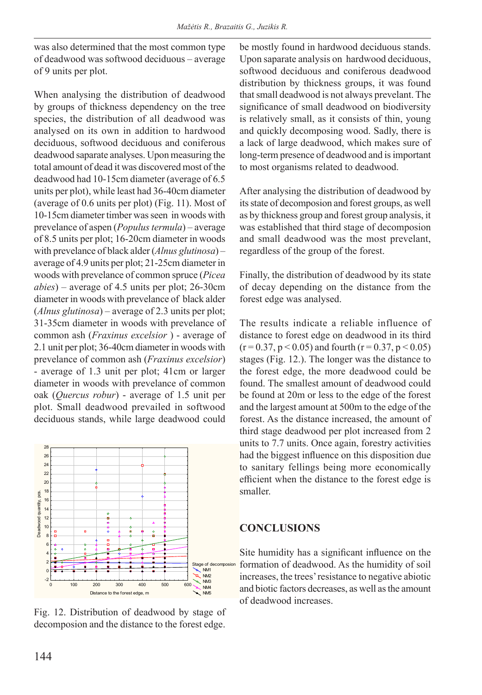was also determined that the most common type of deadwood was softwood deciduous – average of 9 units per plot.

When analysing the distribution of deadwood by groups of thickness dependency on the tree species, the distribution of all deadwood was analysed on its own in addition to hardwood deciduous, softwood deciduous and coniferous deadwood saparate analyses. Upon measuring the total amount of dead it was discovered most of the deadwood had 10-15cm diameter (average of 6.5 units per plot), while least had 36-40cm diameter (average of 0.6 units per plot) (Fig. 11). Most of 10-15cm diameter timber was seen in woods with prevelance of aspen (*Populus termula*) – average of 8.5 units per plot; 16-20cm diameter in woods with prevelance of black alder (*Alnus glutinosa*) – average of 4.9 units per plot; 21-25cm diameter in woods with prevelance of common spruce (*Picea abies*) – average of 4.5 units per plot; 26-30cm diameter in woods with prevelance of black alder (*Alnus glutinosa*) – average of 2.3 units per plot; 31-35cm diameter in woods with prevelance of common ash (*Fraxinus excelsior* ) - average of 2.1 unit per plot; 36-40cm diameter in woods with prevelance of common ash (*Fraxinus excelsior*) - average of 1.3 unit per plot; 41cm or larger diameter in woods with prevelance of common oak (*Quercus robur*) - average of 1.5 unit per plot. Small deadwood prevailed in softwood deciduous stands, while large deadwood could



Fig. 12. Distribution of deadwood by stage of decomposion and the distance to the forest edge.

be mostly found in hardwood deciduous stands. Upon saparate analysis on hardwood deciduous, softwood deciduous and coniferous deadwood distribution by thickness groups, it was found that small deadwood is not always prevelant. The significance of small deadwood on biodiversity is relatively small, as it consists of thin, young and quickly decomposing wood. Sadly, there is a lack of large deadwood, which makes sure of long-term presence of deadwood and is important to most organisms related to deadwood.

After analysing the distribution of deadwood by its state of decomposion and forest groups, as well as by thickness group and forest group analysis, it was established that third stage of decomposion and small deadwood was the most prevelant, regardless of the group of the forest.

Finally, the distribution of deadwood by its state of decay depending on the distance from the forest edge was analysed.

The results indicate a reliable influence of distance to forest edge on deadwood in its third  $(r = 0.37, p < 0.05)$  and fourth  $(r = 0.37, p < 0.05)$ stages (Fig. 12.). The longer was the distance to the forest edge, the more deadwood could be found. The smallest amount of deadwood could be found at 20m or less to the edge of the forest and the largest amount at 500m to the edge of the forest. As the distance increased, the amount of third stage deadwood per plot increased from 2 units to 7.7 units. Once again, forestry activities had the biggest influence on this disposition due to sanitary fellings being more economically efficient when the distance to the forest edge is smaller.

## **CONCLUSIONS**

Site humidity has a significant influence on the formation of deadwood. As the humidity of soil increases, the trees' resistance to negative abiotic and biotic factors decreases, as well as the amount of deadwood increases.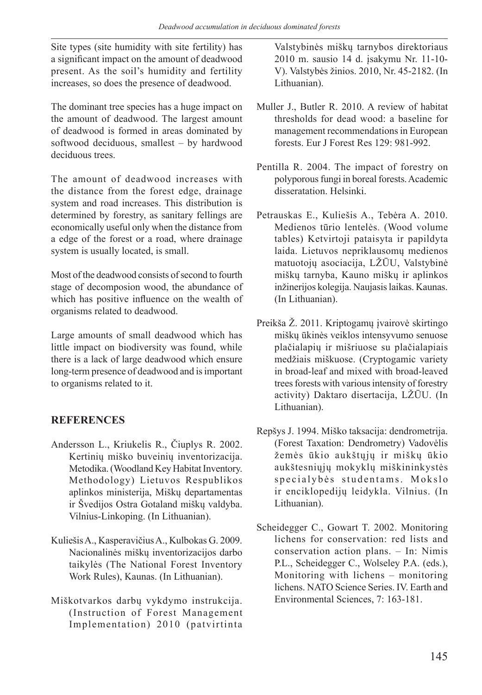Site types (site humidity with site fertility) has a significant impact on the amount of deadwood present. As the soil's humidity and fertility increases, so does the presence of deadwood.

The dominant tree species has a huge impact on the amount of deadwood. The largest amount of deadwood is formed in areas dominated by softwood deciduous, smallest – by hardwood deciduous trees.

The amount of deadwood increases with the distance from the forest edge, drainage system and road increases. This distribution is determined by forestry, as sanitary fellings are economically useful only when the distance from a edge of the forest or a road, where drainage system is usually located, is small.

Most of the deadwood consists of second to fourth stage of decomposion wood, the abundance of which has positive influence on the wealth of organisms related to deadwood.

Large amounts of small deadwood which has little impact on biodiversity was found, while there is a lack of large deadwood which ensure long-term presence of deadwood and is important to organisms related to it.

## **REFERENCES**

- Andersson L., Kriukelis R., Čiuplys R. 2002. Kertinių miško buveinių inventorizacija. Metodika. (Woodland Key Habitat Inventory. Methodology) Lietuvos Respublikos aplinkos ministerija, Miškų departamentas ir Švedijos Ostra Gotaland miškų valdyba. Vilnius-Linkoping. (In Lithuanian).
- Kuliešis A., Kasperavičius A., Kulbokas G. 2009. Nacionalinės miškų inventorizacijos darbo taikylės (The National Forest Inventory Work Rules), Kaunas. (In Lithuanian).
- Miškotvarkos darbų vykdymo instrukcija. (Instruction of Forest Management Implementation) 2010 (patvirtinta

Valstybinės miškų tarnybos direktoriaus 2010 m. sausio 14 d. įsakymu Nr. 11-10- V). Valstybės žinios. 2010, Nr. 45-2182. (In Lithuanian).

- Muller J., Butler R. 2010. A review of habitat thresholds for dead wood: a baseline for management recommendations in European forests. Eur J Forest Res 129: 981-992.
- Pentilla R. 2004. The impact of forestry on polyporous fungi in boreal forests. Academic disseratation. Helsinki.
- Petrauskas E., Kuliešis A., Tebėra A. 2010. Medienos tūrio lentelės. (Wood volume tables) Ketvirtoji pataisyta ir papildyta laida. Lietuvos nepriklausomų medienos matuotojų asociacija, LŽŪU, Valstybinė miškų tarnyba, Kauno miškų ir aplinkos inžinerijos kolegija. Naujasis laikas. Kaunas. (In Lithuanian).
- Preikša Ž. 2011. Kriptogamų įvairovė skirtingo miškų ūkinės veiklos intensyvumo senuose plačialapių ir mišriuose su plačialapiais medžiais miškuose. (Cryptogamic variety in broad-leaf and mixed with broad-leaved trees forests with various intensity of forestry activity) Daktaro disertacija, LŽŪU. (In Lithuanian).
- Repšys J. 1994. Miško taksacija: dendrometrija. (Forest Taxation: Dendrometry) Vadovėlis žemės ūkio aukštųjų ir miškų ūkio aukštesniųjų mokyklų miškininkystės specialybės studentams. Mokslo ir enciklopedijų leidykla. Vilnius. (In Lithuanian).
- Scheidegger C., Gowart T. 2002. Monitoring lichens for conservation: red lists and conservation action plans. – In: Nimis P.L., Scheidegger C., Wolseley P.A. (eds.), Monitoring with lichens – monitoring lichens. NATO Science Series. IV. Earth and Environmental Sciences, 7: 163-181.